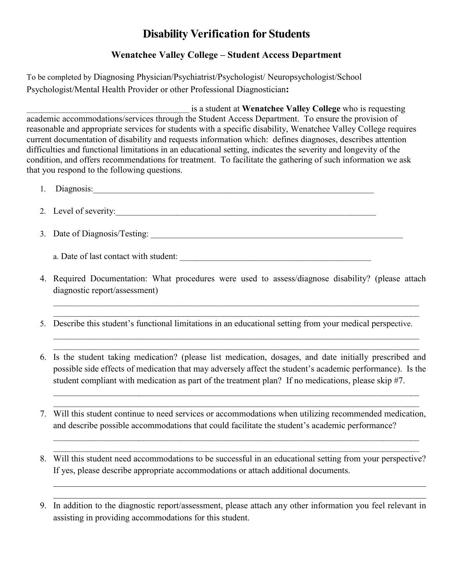## **Disability Verification for Students**

## **Wenatchee Valley College – Student Access Department**

To be completed by Diagnosing Physician/Psychiatrist/Psychologist/ Neuropsychologist/School Psychologist/Mental Health Provider or other Professional Diagnostician**:** 

\_\_\_\_\_\_\_\_\_\_\_\_\_\_\_\_\_\_\_\_\_\_\_\_\_\_\_\_\_\_\_\_\_\_\_\_\_\_\_\_\_\_\_\_ is a student at **Wenatchee Valley College** who is requesting academic accommodations/services through the Student Access Department. To ensure the provision of reasonable and appropriate services for students with a specific disability, Wenatchee Valley College requires current documentation of disability and requests information which: defines diagnoses, describes attention difficulties and functional limitations in an educational setting, indicates the severity and longevity of the condition, and offers recommendations for treatment. To facilitate the gathering of such information we ask that you respond to the following questions.

- 1. Diagnosis:\_\_\_\_\_\_\_\_\_\_\_\_\_\_\_\_\_\_\_\_\_\_\_\_\_\_\_\_\_\_\_\_\_\_\_\_\_\_\_\_\_\_\_\_\_\_\_\_\_\_\_\_\_\_\_\_\_\_\_\_\_\_\_\_\_\_\_\_\_
- 2. Level of severity:
- 3. Date of Diagnosis/Testing: \_\_\_\_\_\_\_\_\_\_\_\_\_\_\_\_\_\_\_\_\_\_\_\_\_\_\_\_\_\_\_\_\_\_\_\_\_\_\_\_\_\_\_\_\_\_\_\_\_\_\_\_\_\_\_\_\_\_\_\_\_\_

a. Date of last contact with student: \_\_\_\_\_\_\_\_\_\_\_\_\_\_\_\_\_\_\_\_\_\_\_\_\_\_\_\_\_\_\_\_\_\_\_\_\_\_\_\_\_\_\_\_\_\_\_

4. Required Documentation: What procedures were used to assess/diagnose disability? (please attach diagnostic report/assessment)

 $\mathcal{L}_\text{max}$  , and the contract of the contract of the contract of the contract of the contract of the contract of the contract of the contract of the contract of the contract of the contract of the contract of the contr  $\mathcal{L}_\text{max}$  and  $\mathcal{L}_\text{max}$  and  $\mathcal{L}_\text{max}$  and  $\mathcal{L}_\text{max}$  and  $\mathcal{L}_\text{max}$  and  $\mathcal{L}_\text{max}$ 

 $\mathcal{L}_\mathcal{L} = \mathcal{L}_\mathcal{L} = \mathcal{L}_\mathcal{L} = \mathcal{L}_\mathcal{L} = \mathcal{L}_\mathcal{L} = \mathcal{L}_\mathcal{L} = \mathcal{L}_\mathcal{L} = \mathcal{L}_\mathcal{L} = \mathcal{L}_\mathcal{L} = \mathcal{L}_\mathcal{L} = \mathcal{L}_\mathcal{L} = \mathcal{L}_\mathcal{L} = \mathcal{L}_\mathcal{L} = \mathcal{L}_\mathcal{L} = \mathcal{L}_\mathcal{L} = \mathcal{L}_\mathcal{L} = \mathcal{L}_\mathcal{L}$  $\mathcal{L}_\mathcal{L} = \mathcal{L}_\mathcal{L} = \mathcal{L}_\mathcal{L} = \mathcal{L}_\mathcal{L} = \mathcal{L}_\mathcal{L} = \mathcal{L}_\mathcal{L} = \mathcal{L}_\mathcal{L} = \mathcal{L}_\mathcal{L} = \mathcal{L}_\mathcal{L} = \mathcal{L}_\mathcal{L} = \mathcal{L}_\mathcal{L} = \mathcal{L}_\mathcal{L} = \mathcal{L}_\mathcal{L} = \mathcal{L}_\mathcal{L} = \mathcal{L}_\mathcal{L} = \mathcal{L}_\mathcal{L} = \mathcal{L}_\mathcal{L}$ 

5. Describe this student's functional limitations in an educational setting from your medical perspective.

6. Is the student taking medication? (please list medication, dosages, and date initially prescribed and possible side effects of medication that may adversely affect the student's academic performance). Is the student compliant with medication as part of the treatment plan? If no medications, please skip #7.

\_\_\_\_\_\_\_\_\_\_\_\_\_\_\_\_\_\_\_\_\_\_\_\_\_\_\_\_\_\_\_\_\_\_\_\_\_\_\_\_\_\_\_\_\_\_\_\_\_\_\_\_\_\_\_\_\_\_\_\_\_\_\_\_\_\_\_\_\_\_\_\_\_\_\_\_\_\_\_\_\_\_\_\_\_\_\_\_\_\_  $\mathcal{L}_\text{max}$  , and the contract of the contract of the contract of the contract of the contract of the contract of the contract of the contract of the contract of the contract of the contract of the contract of the contr

7. Will this student continue to need services or accommodations when utilizing recommended medication, and describe possible accommodations that could facilitate the student's academic performance?

\_\_\_\_\_\_\_\_\_\_\_\_\_\_\_\_\_\_\_\_\_\_\_\_\_\_\_\_\_\_\_\_\_\_\_\_\_\_\_\_\_\_\_\_\_\_\_\_\_\_\_\_\_\_\_\_\_\_\_\_\_\_\_\_\_\_\_\_\_\_\_\_\_\_\_\_\_\_\_\_\_\_\_\_\_\_\_\_\_\_ \_\_\_\_\_\_\_\_\_\_\_\_\_\_\_\_\_\_\_\_\_\_\_\_\_\_\_\_\_\_\_\_\_\_\_\_\_\_\_\_\_\_\_\_\_\_\_\_\_\_\_\_\_\_\_\_\_\_\_\_\_\_\_\_\_\_\_\_\_\_\_\_\_\_\_\_\_\_\_\_\_\_\_\_\_\_\_\_\_\_

8. Will this student need accommodations to be successful in an educational setting from your perspective? If yes, please describe appropriate accommodations or attach additional documents.

\_\_\_\_\_\_\_\_\_\_\_\_\_\_\_\_\_\_\_\_\_\_\_\_\_\_\_\_\_\_\_\_\_\_\_\_\_\_\_\_\_\_\_\_\_\_\_\_\_\_\_\_\_\_\_\_\_\_\_\_\_\_\_\_\_\_\_\_\_\_\_\_\_\_\_\_\_\_\_\_\_\_\_\_ \_\_\_\_\_\_\_\_\_\_\_\_\_\_\_\_\_\_\_\_\_\_\_\_\_\_\_\_\_\_\_\_\_\_\_\_\_\_\_\_\_\_\_\_\_\_\_\_\_\_\_\_\_\_\_\_\_\_\_\_\_\_\_\_\_\_\_\_\_\_\_\_\_\_\_\_\_\_\_\_\_\_\_\_

9. In addition to the diagnostic report/assessment, please attach any other information you feel relevant in assisting in providing accommodations for this student.